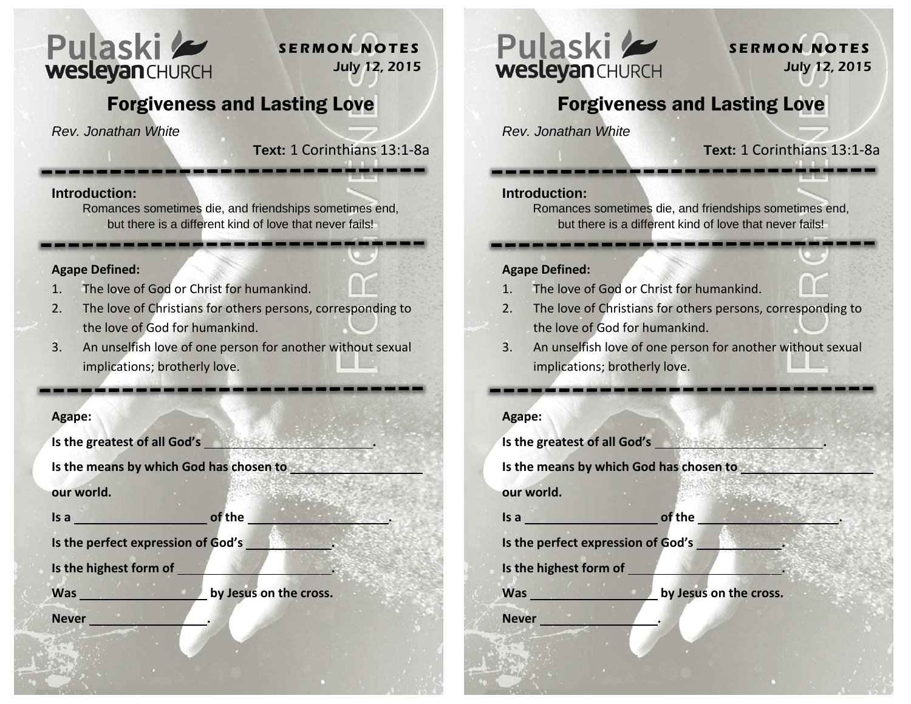

## **S E R M O N N O T E S** July 12, 2015

# Forgiveness and Lasting Love

*Rev. Jonathan White*

### **Text:** 1 Corinthians 13:1-8a

#### **Introduction:**

Romances sometimes die, and friendships sometimes end, but there is a different kind of love that never fails!

#### **Agape Defined:**

- 1. The love of God or Christ for humankind.
- 2. The love of Christians for others persons, corresponding to the love of God for humankind.
- 3. An unselfish love of one person for another without sexual implications; brotherly love.

#### **Agape:**

| Is the greatest of all God's            |                        |
|-----------------------------------------|------------------------|
| Is the means by which God has chosen to |                        |
| our world.                              |                        |
| Is a                                    | of the                 |
| Is the perfect expression of God's      |                        |
| Is the highest form of                  |                        |
| <b>Was</b>                              | by Jesus on the cross. |
| <b>Never</b>                            |                        |
|                                         |                        |